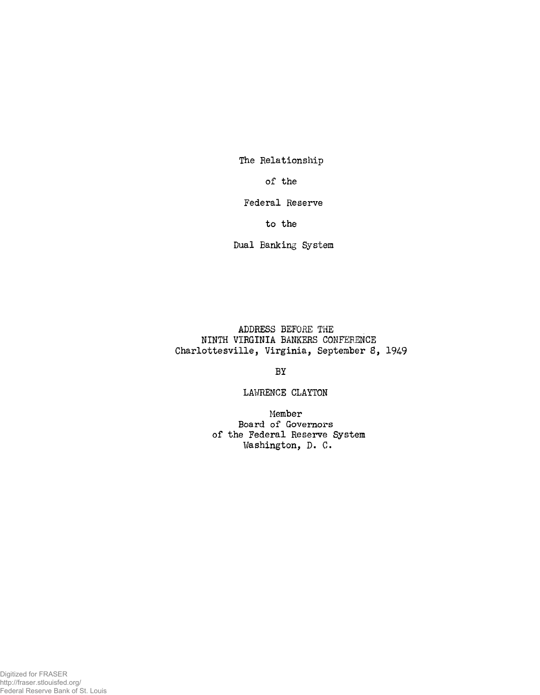The Relationship

of the

Federal Reserve

to the

Dual Banking System

ADDRESS BEFORE THE NINTH VIRGINIA BANKERS CONFERENCE Charlottesville, Virginia, September 8, 1949

BY

LAWRENCE CLAYTON

Member Board of Governors of the Federal Reserve System Washington, D. C.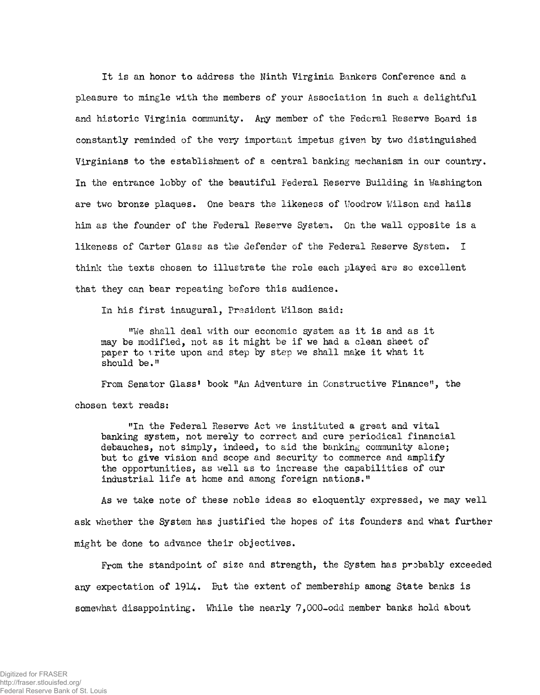It is an honor to address the Ninth Virginia Bankers Conference and a pleasure to mingle with the members of your Association in such a delightful and historic Virginia community. Any member of the Federal Reserve Board is constantly reminded of the very important impetus given by two distinguished Virginians to the establishment of a central banking mechanism in our country. In the entrance lobby of the beautiful Federal Reserve Building in Washington are two bronze plaques. One bears the likeness of Woodrow Wilson and hails him as the founder of the Federal Reserve System. On the wall opposite is a likeness of Carter Glass as the defender of the Federal Reserve System. I think the texts chosen to illustrate the role each played are so excellent that they can bear repeating before this audience.

In his first inaugural, President Wilson said:

"We shall deal with our economic system as it is and as it may be modified, not as it might be if we had a clean sheet of paper to vrite upon and step by step we shall make it what it should be."

From Senator Glass' book "An Adventure in Constructive Finance", the chosen text reads:

"In the Federal Reserve Act we instituted a great and vital banking system, not merely to correct and cure periodical financial debauches, not simply, indeed, to aid the banking community alone; but to give vision and scope and security to commerce and amplify the opportunities, as well as to increase the capabilities of our industrial life at home and among foreign nations."

As we take note of these noble ideas so eloquently expressed, we may well ask whether the System has justified the hopes of its founders and what further might be done to advance their objectives.

From the standpoint of size and strength, the System has probably exceeded any expectation of 1914. But the extent of membership among State banks is somewhat disappointing. While the nearly 7,000-odd member banks hold about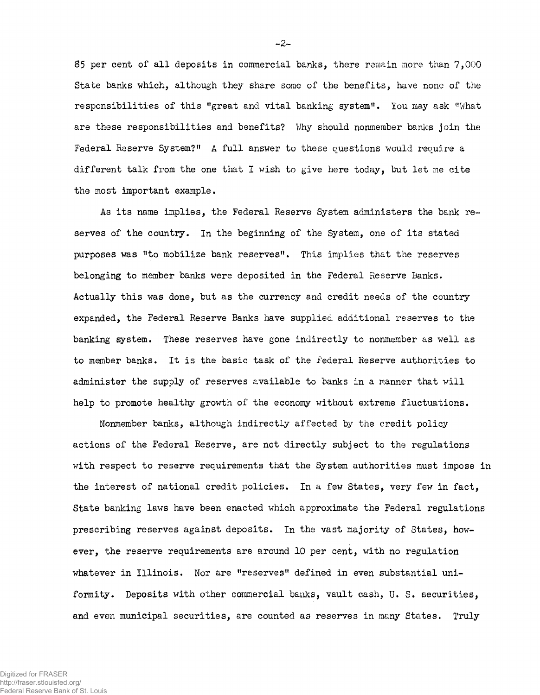85 per cent of all deposits in commercial banks, there remain more than 7,000 State banks which, although they share some of the benefits, have none of the responsibilities of this "great and vital banking system". You may ask "What are these responsibilities and benefits? Why should nonmember banks join the Federal Reserve System?" A full answer to these questions would require a different talk from the one that I wish to give here today, but let me cite the most important example.

As its name implies, the Federal Reserve System administers the bank reserves of the country. In the beginning of the System, one of its stated purposes was "to mobilize bank reserves". This implies that the reserves belonging to member banks were deposited in the Federal Reserve Banks. Actually this was done, but as the currency and credit needs of the country expanded, the Federal Reserve Banks have supplied additional reserves to the banking system. These reserves have gone indirectly to nonmember as well as to member banks. It is the basic task of the Federal Reserve authorities to administer the supply of reserves available to banks in a manner that will help to promote healthy growth of the economy without extreme fluctuations.

Nonmember banks, although indirectly affected by the credit policy actions of the Federal Reserve, are not directly subject to the regulations with respect to reserve requirements that the System authorities must impose in the interest of national credit policies. In a few States, very few in fact, State banking laws have been enacted which approximate the Federal regulations prescribing reserves against deposits. In the vast majority of States, however, the reserve requirements are around 10 per cent, with no regulation whatever in Illinois. Nor are "reserves" defined in even substantial uniformity. Deposits with other commercial banks, vault cash, U. S. securities, and even municipal securities, are counted as reserves in many States. Truly

-2-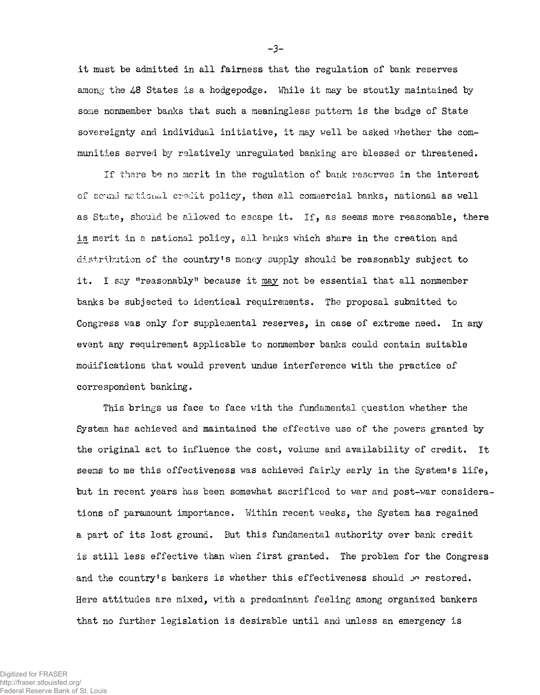it must be admitted in all fairness that the regulation of bank reserves among the 48 States is a hodgepodge. While it may be stoutly maintained by some nonmember banks that such a meaningless pattern is the badge of State sovereignty and individual initiative, it may well be asked whether the communities served by relatively unregulated banking are blessed or threatened.

If there be no merit in the regulation of bank reserves in the interest of sound national credit policy, then all commercial banks, national as well as State, should be allowed to escape it. If, as seems more reasonable, there is merit in a national policy, all banks which share in the creation and distribution of the country's money supply should be reasonably subject to it. I say "reasonably" because it may not be essential that all nonmember banks be subjected to identical requirements. The proposal submitted to Congress was only for supplemental reserves, in case of extreme need. In any event any requirement applicable to nonmember banks could contain suitable modifications that would prevent undue interference with the practice of correspondent banking.

This brings us face to face with the fundamental question whether the System has achieved and maintained the effective use of the powers granted by the original act to influence the cost, volume and availability of credit. It seems to me this effectiveness was achieved fairly early in the System's life, but in recent years has been somewhat sacrificed to war and post-war considerations of paramount importance. Within recent weeks, the System has regained a part of its lost ground. But this fundamental authority over bank credit is still less effective than when first granted. The problem for the Congress and the country's bankers is whether this effectiveness should *je* restored. Here attitudes are mixed, with a predominant feeling among organized bankers that no further legislation is desirable until and unless an emergency is

-3-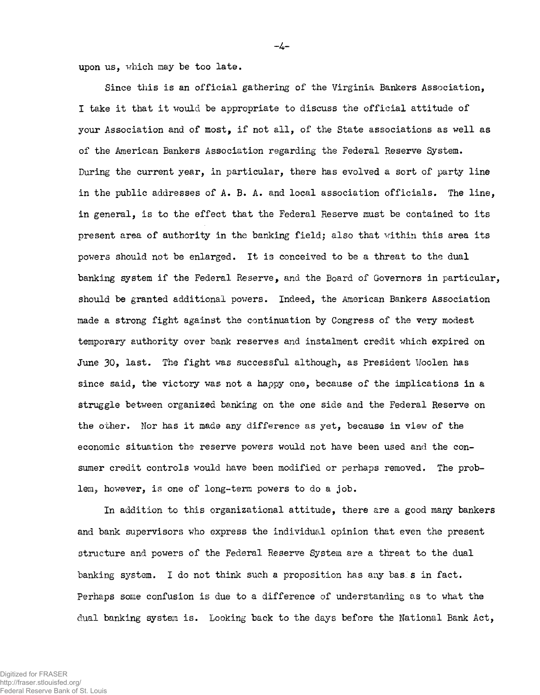upon us, which may be too late.

Since this is an official gathering of the Virginia Bankers Association, I take it that it would be appropriate to discuss the official attitude of your Association and of most, if not all, of the State associations as well as of the American Bankers Association regarding the Federal Reserve System. During the current year, in particular, there has evolved a sort of party line in the public addresses of A. B. A. and local association officials. The line, in general, is to the effect that the Federal Reserve must be contained to its present area of authority in the banking fieldj also that within this area its powers should not be enlarged. It is conceived to be a threat to the dual banking system if the Federal Reserve, and the Board of Governors in particular, should be granted additional powers. Indeed, the American Bankers Association made a strong fight against the continuation by Congress of the very modest temporary authority over bank reserves and instalment credit which expired on June 30, last. The fight was successful although, as President Woolen has since said, the victory was not a happy one, because of the implications in a struggle between organized banking on the one side and the Federal Reserve on the other. Nor has it made any difference as yet, because in view of the economic situation the reserve powers would not have been used and the consumer credit controls would have been modified or perhaps removed. The problem, however, is one of long-term powers to do a job.

 $-4-$ 

In addition to this organizational attitude, there are a good many bankers and bank supervisors who express the individual opinion that even the present structure and powers of the Federal Reserve System are a threat to the dual banking system. I do not think such a proposition has any bas. s in fact. Perhaps some confusion is due to a difference of understanding as to what the dual banking system is. Looking back to the days before the National Bank Act,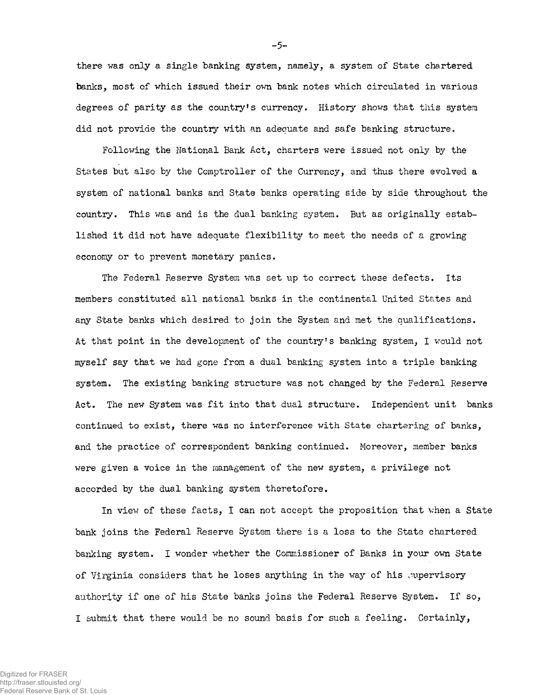there was only a single banking system, namely, a system of State chartered banks, most of which issued their own bank notes which circulated in various degrees of parity as the country's currency. History shows that this system did not provide the country with an adequate and safe banking structure.

Following the National Bank Act, charters were issued not only by the States but also by the Comptroller of the Currency, and thus there evolved a system of national banks and State banks operating side by side throughout the country. This was and is the dual banking system. But as originally established it did not have adequate flexibility to meet the needs of a growing economy or to prevent monetary panics.

The Federal Reserve System was set up to correct these defects. Its members constituted all national banks in the continental United States and any State banks which desired to join the System and met the qualifications. At that point in the development of the country's banking system, I would not myself say that we had gone from a dual banking system into a triple banking system. The existing banking structure was not changed by the Federal Reserve Act. The new System was fit into that dual structure. Independent unit banks continued to exist, there was no interference with State chartering of banks, and the practice of correspondent banking continued. Moreover, member banks were given a voice in the management of the new system, a privilege not accorded by the dual banking system theretofore.

In view of these facts, I can not accept the proposition that when a State bank joins the Federal Reserve System there is a loss to the State chartered banking system. I wonder whether the Commissioner of Banks in your own State of Virginia considers that he loses anything in the way of his .wpervisory authority if one of his State banks joins the Federal Reserve System. If so, I submit that there would be no sound basis for such a feeling. Certainly,

Digitized for FRASER http://fraser.stlouisfed.org/ Federal Reserve Bank of St. Louis -5-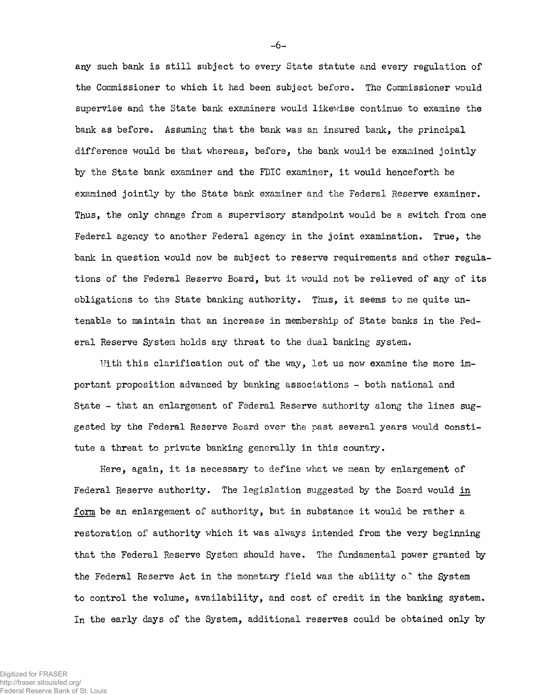any such bank is still subject to every State statute and every regulation of the Commissioner to which it had been subject before. The Commissioner would supervise and the State bank examiners would likewise continue to examine the bank as before. Assuming that the bank was an insured bank, the principal difference would be that whereas, before, the bank would be examined jointly by the State bank examiner and the FDIC examiner, it would henceforth be examined jointly by the State bank examiner and the Federal Reserve examiner. Thus, the only change from a supervisory standpoint would be a switch from one Federal agency to another Federal agency in the joint examination. True, the bank in question would now be subject to reserve requirements and other regulations of the Federal Reserve Board, but it would not be relieved of any of its obligations to the State banking authority. Thus, it seems to me quite untenable to maintain that an increase in membership of State banks in the Federal Reserve System holds any threat to the dual banking system.

Uith this clarification out of the way, let us now examine the more important proposition advanced by banking associations - both national and State - that an enlargement of Federal Reserve authority along the lines suggested by the Federal Reserve Board over the past several years would constitute a threat to private banking generally in this country.

Here, again, it is necessary to define what we mean by enlargement of Federal Reserve authority. The legislation suggested by the Board would in form be an enlargement of authority, but in substance it would be rather a restoration of authority which it was always intended from the very beginning that the Federal Reserve System should have. The fundamental power granted by the Federal Reserve Act in the monetary field was the ability o.' the System to control the volume, availability, and cost of credit in the banking system. In the early days of the System, additional reserves could be obtained only by

Digitized for FRASER http://fraser.stlouisfed.org/ Federal Reserve Bank of St. Louis -6-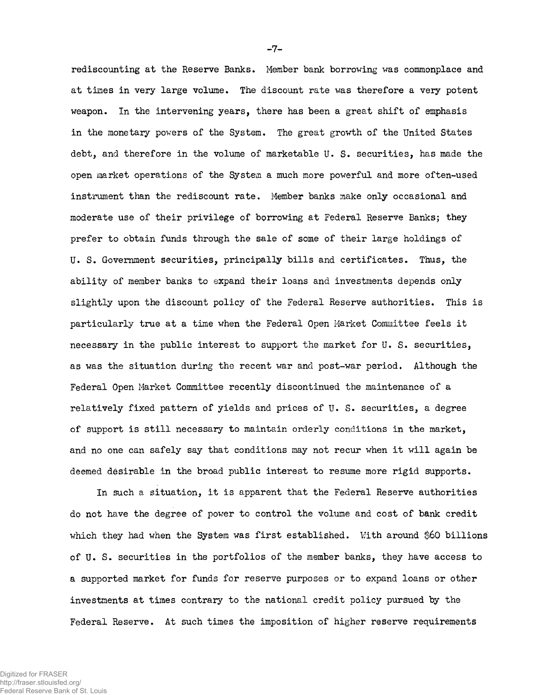rediscounting at the Reserve Banks. Member bank borrowing was commonplace and at times in very large volume. The discount rate was therefore a very potent weapon. In the intervening years, there has been a great shift of emphasis in the monetary powers of the System. The great growth of the United States debt, and therefore in the volume of marketable U. S. securities, has made the open market operations of the System a much more powerful and more often-used instrument than the rediscount rate. Member banks make only occasional and moderate use of their privilege of borrowing at Federal Reserve Banks; they prefer to obtain funds through the sale of some of their large holdings of U. S. Government securities, principally bills and certificates. Thus, the ability of member banks to expand their loans and investments depends only slightly upon the discount policy of the Federal Reserve authorities. This is particularly true at a time when the Federal Open Market Committee feels it necessary in the public interest to support the market for U. S. securities, as was the situation during the recent war and post-war period. Although the Federal Open Market Committee recently discontinued the maintenance of a relatively fixed pattern of yields and prices of U. S. securities, a degree of support is still necessary to maintain orderly conditions in the market, and no one can safely say that conditions may not recur when it will again be deemed desirable in the broad public interest to resume more rigid supports.

In such a situation, it is apparent that the Federal Reserve authorities do not have the degree of power to control the volume and cost of bank credit which they had when the System was first established. With around \$60 billions of U. S. securities in the portfolios of the member banks, they have access to a supported market for funds for reserve purposes or to expand loans or other investments at times contrary to the national credit policy pursued by the Federal Reserve. At such times the imposition of higher reserve requirements

-7-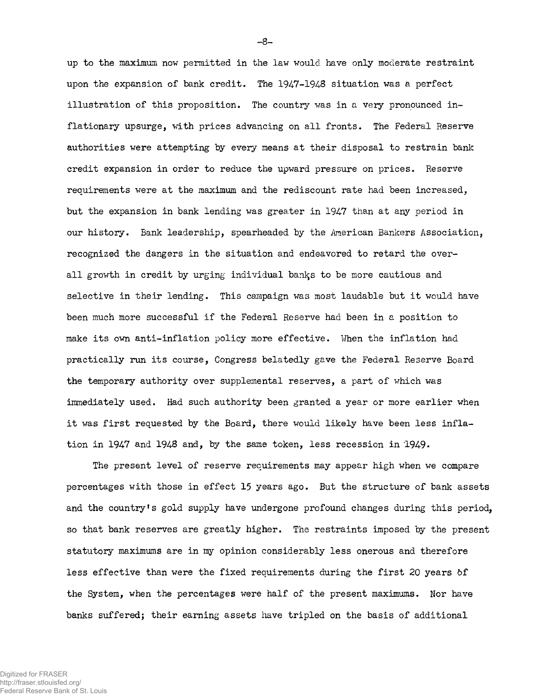up to the maximum now permitted in the law would have only moderate restraint upon the expansion of bank credit. The  $1947-1948$  situation was a perfect illustration of this proposition. The country was in a very pronounced inflationary upsurge, with prices advancing on all fronts. The Federal Reserve authorities were attempting by every means at their disposal to restrain bank credit expansion in order to reduce the upward pressure on prices. Reserve requirements were at the maximum and the rediscount rate had been increased, but the expansion in bank lending was greater in 1947 than at any period in our history. Bank leadership, spearheaded by the American Bankers Association, recognized the dangers in the situation and endeavored to retard the overall growth in credit by urging individual banks to be more cautious and selective in their lending. This campaign was most laudable but it would have been much more successful if the Federal Reserve had been in a position to make its own anti-inflation policy more effective. When the inflation had practically run its course, Congress belatedly gave the Federal Reserve Board the temporary authority over supplemental reserves, a part of which was immediately used. Had such authority been granted a year or more earlier when it was first requested by the Board, there would likely have been less inflation in 1947 and 1948 and, by the same token, less recession in 1949.

The present level of reserve requirements may appear high when we compare percentages with those in effect 15 years ago. But the structure of bank assets and the country's gold supply have undergone profound changes during this period, so that bank reserves are greatly higher. The restraints imposed by the present statutory maximums are in my opinion considerably less onerous and therefore less effective than were the fixed requirements during the first 20 years 6f the System, when the percentages were half of the present maximums. Nor have banks suffered; their earning assets have tripled on the basis of additional

-8-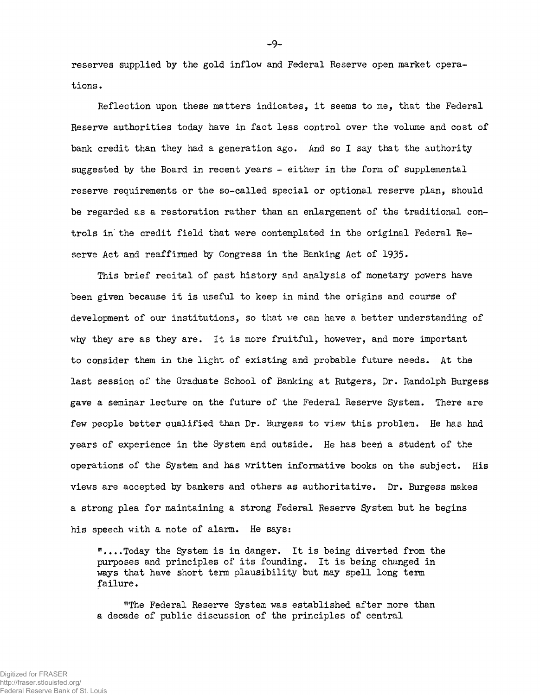reserves supplied by the gold inflow and Federal Reserve open market operations .

Reflection upon these matters indicates, it seems to me, that the Federal Reserve authorities today have in fact less control over the volume and cost of bank credit than they had a generation ago. And so I say that the authority suggested by the Board in recent years - either in the form of supplemental reserve requirements or the so-called special or optional reserve plan, should be regarded as a restoration rather than an enlargement of the traditional controls in the credit field that were contemplated in the original Federal Reserve Act and reaffirmed by Congress in the Banking Act of 1935.

This brief recital of past history and analysis of monetary powers have been given because it is useful to keep in mind the origins and course of development of our institutions, so that we can have a better understanding of why they are as they are. It is more fruitful, however, and more important to consider them in the light of existing and probable future needs. At the last session of the Graduate School of Banking at Rutgers, Dr. Randolph Burgess gave a seminar lecture on the future of the Federal Reserve System. There are few people better qualified than Dr. Burgess to view this problem. He has had years of experience in the System and outside. He has been a student of the operations of the System and has written informative books on the subject. His views are accepted by bankers and others as authoritative. Dr. Burgess makes a strong plea for maintaining a strong Federal Reserve System but he begins his speech with a note of alarm. He says:

"....Today the System is in danger. It is being diverted from the purposes and principles of its founding. It is being changed in ways that have short term plausibility but may spell long term failure.

"The Federal Reserve System was established after more than a decade of public discussion of the principles of central

-9-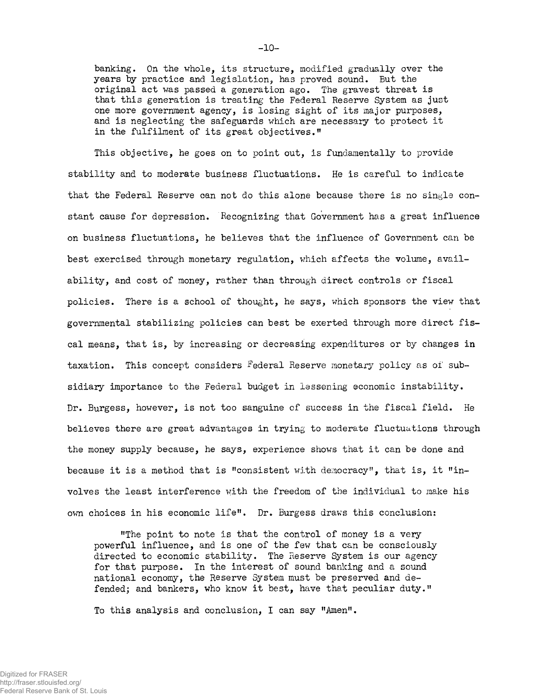banking. On the whole, its structure, modified gradually over the years by practice and legislation, has proved sound. But the original act was passed a generation ago. The gravest threat is that this generation is treating the Federal Reserve System as just one more government agency, is losing sight of its major purposes, and is neglecting the safeguards which are necessary to protect it in the fulfilment of its great objectives."

This objective, he goes on to point out, is fundamentally to provide stability and to moderate business fluctuations. He is careful to indicate that the Federal Reserve can not do this alone because there is no single constant cause for depression. Recognizing that Government has a great influence on business fluctuations, he believes that the influence of Government can be best exercised through monetary regulation, which affects the volume, availability, and cost of money, rather than through direct controls or fiscal policies. There is a school of thought, he says, which sponsors the view that governmental stabilizing policies can best be exerted through more direct fiscal means, that is, by increasing or decreasing expenditures or by changes in taxation. This concept considers Federal Reserve monetary policy as of subsidiary importance to the Federal budget in lessening economic instability. Dr. Burgess, however, is not too sanguine of success in the fiscal field. He believes there are great advantages in trying to moderate fluctuations through the money supply because, he says, experience shows that it can be done and because it is a method that is "consistent with democracy", that is, it "involves the least interference with the freedom of the individual to make his own choices in his economic life". Dr. Burgess draws this conclusion:

"The point to note is that the control of money is a very powerful influence, and is one of the few that can be consciously directed to economic stability. The Reserve System is our agency for that purpose. In the interest of sound banking and a sound national economy, the Reserve System must be preserved and defended; and bankers, who know it best, have that peculiar duty."

To this analysis and conclusion, I can say "Amen".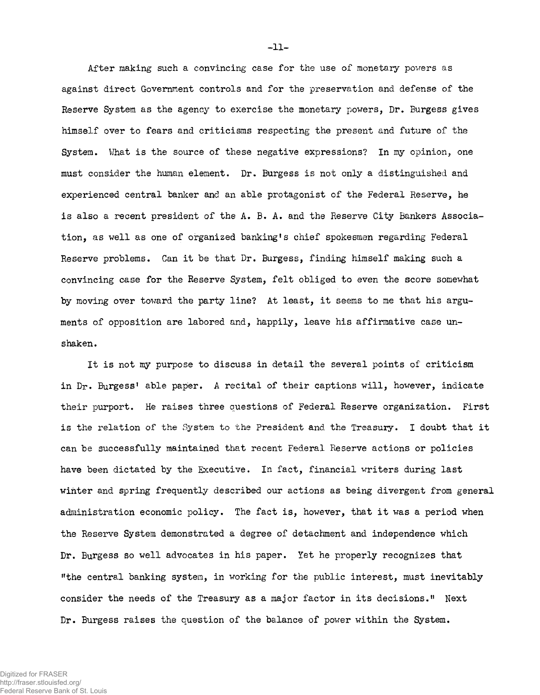After making such a convincing case for the use of monetary powers as against direct Government controls and for the preservation and defense of the Reserve System as the agency to exercise the monetary powers, Dr. Burgess gives himself over to fears and criticisms respecting the present and future of the System. What is the source of these negative expressions? In my opinion, one must consider the human element. Dr. Burgess is not only a distinguished and experienced central banker and an able protagonist of the Federal Reserve, he is also a recent president of the A. B. A. and the Reserve City Bankers Association, as well as one of organized banking's chief spokesmen regarding Federal Reserve problems. Can it be that Dr. Burgess, finding himself making such a convincing case for the Reserve System, felt obliged to even the score somewhat by moving over toward the party line? At least, it seems to me that his arguments of opposition are labored and, happily, leave his affirmative case unshaken.

It is not my purpose to discuss in detail the several points of criticism in Dr. Burgess' able paper. A recital of their captions will, however, indicate their purport. He raises three questions of Federal Reserve organization. First is the relation of the System to the President and the Treasury. I doubt that it can be successfully maintained that recent Federal Reserve actions or policies have been dictated by the Executive. In fact, financial writers during last winter and spring frequently described our actions as being divergent from general administration economic policy. The fact is, however, that it was a period when the Reserve System demonstrated a degree of detachment and independence which Dr. Burgess so well advocates in his paper. Yet he properly recognizes that "the central banking system, in working for the public interest, must inevitably consider the needs of the Treasury as a major factor in its decisions." Next Dr. Burgess raises the question of the balance of power within the System.

-11-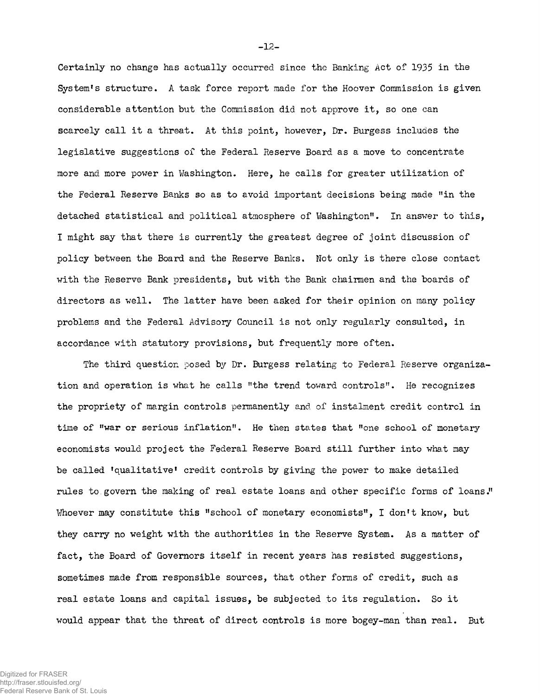Certainly no change has actually occurred since the Banking Act of 1935 in the System's structure. A task force report made for the Hoover Commission is given considerable attention but the Commission did not approve it, so one can scarcely call it a threat. At this point, however, Dr. Burgess includes the legislative suggestions of the Federal Reserve Board as a move to concentrate more and more power in Washington. Here, he calls for greater utilization of the Federal Reserve Banks so as to avoid important decisions being made "in the detached statistical and political atmosphere of Washington". In answer to this, I might say that there is currently the greatest degree of joint discussion of policy between the Board and the Reserve Banks. Not only is there close contact with the Reserve Bank presidents, but with the Bank chairmen and the boards of directors as well. The latter have been asked for their opinion on many policy problems and the Federal Advisory Council is not only regularly consulted, in accordance with statutory provisions, but frequently more often.

The third question posed by Dr. Burgess relating to Federal Reserve organization and operation is what he calls "the trend toward controls". He recognizes the propriety of margin controls permanently and of instalment credit control in time of "war or serious inflation". He then states that "one school of monetary economists would project the Federal Reserve Board still further into what may be called 'qualitative' credit controls by giving the power to make detailed rules to. govern the making of real estate loans and other specific forms of loans." Whoever may constitute this "school of monetary economists", I don't know, but they carry no weight with the authorities in the Reserve System. As a matter of fact, the Board of Governors itself in recent years has resisted suggestions, sometimes made from responsible sources, that other forms of credit, such as real estate loans and capital issues, be subjected to its regulation. So it would appear that the threat of direct controls is more bogey-man than real. But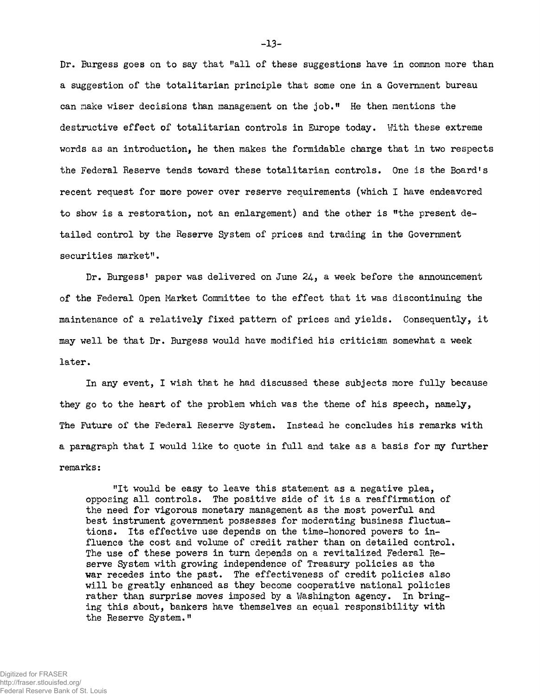Dr. Burgess goes on to say that "all of these suggestions have in common more than a suggestion of the totalitarian principle that some one in a Government bureau can make wiser decisions than management on the job." He then mentions the destructive effect of totalitarian controls in Europe today. With these extreme words as an introduction, he then makes the formidable charge that in two respects the Federal Reserve tends toward these totalitarian controls. One is the Board's recent request for more power over reserve requirements (which I have endeavored to show is a restoration, not an enlargement) and the other is "the present detailed control by the Reserve System of prices and trading in the Government securities market".

Dr. Burgess' paper was delivered on June  $24$ , a week before the announcement of the Federal Open Market Committee to the effect that it was discontinuing the maintenance of a relatively fixed pattern of prices and yields. Consequently, it may well be that Dr. Burgess would have modified his criticism somewhat a week later.

In any event, I wish that he had discussed these subjects more fully because they go to the heart of the problem which was the theme of his speech, namely, The Future of the Federal Reserve System. Instead he concludes his remarks with a paragraph that I would like to quote in full and take as a basis for my further remarks:

"It would be easy to leave this statement as a negative plea, opposing all controls. The positive side of it is a reaffirmation of the need for vigorous monetary management as the most powerful and best instrument government possesses for moderating business fluctuations. Its effective use depends on the time-honored powers to influence the cost and volume of credit rather than on detailed control. The use of these powers in turn depends on a revitalized Federal Reserve System with growing independence of Treasury policies as the war recedes into the past. The effectiveness of credit policies also will be greatly enhanced as they become cooperative national policies rather than surprise moves imposed by a Washington agency. In bringing this about, bankers have themselves an equal responsibility with the Reserve System."

-13-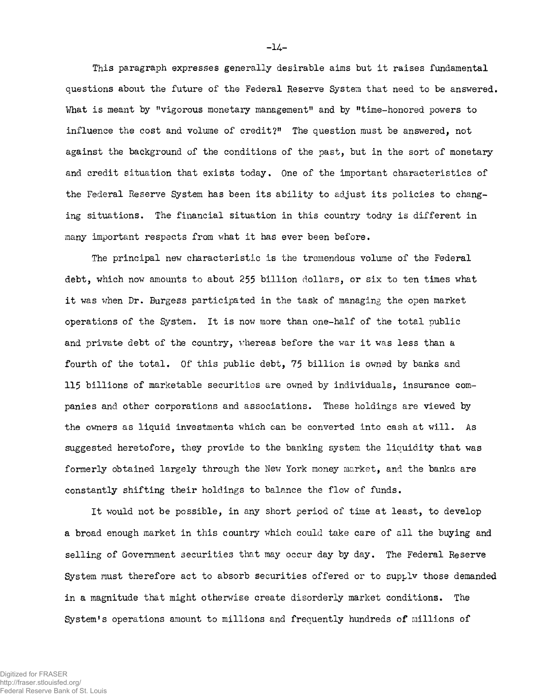This paragraph expresses generally desirable aims but it raises fundamental questions about the future of the Federal Reserve System that need to be answered. What is meant by "vigorous monetary management" and by "time-honored powers to influence the cost and volume of credit?" The question must be answered, not against the background of the conditions of the past, but in the sort of monetary and credit situation that exists today. One of the important characteristics of the Federal Reserve System has been its ability to adjust its policies to changing situations. The financial situation in this country today is different in many important respects from what it has ever been before.

The principal new characteristic is the tremendous volume of the Federal debt, which now amounts to about 255 billion dollars, or six to ten times what it was when Dr. Burgess participated in the task of managing the open market operations of the System. It is now more than one-half of the total public and private debt of the country, whereas before the war it was less than a fourth of the total. Of this public debt, 75 billion is owned by banks and 115 billions of marketable securities are owned by individuals, insurance companies and other corporations and associations. These holdings are viewed by the owners as liquid investments which can be converted into cash at will. As suggested heretofore, they provide to the banking system the liquidity that was formerly obtained largely through the New York money market, and the banks are constantly shifting their holdings to balance the flow of funds.

It would not be possible, in any short period of time at least, to develop a broad enough market in this country which could take care of all the buying and selling of Government securities that may occur day by day. The Federal Reserve System must therefore act to absorb securities offered or to supplv those demanded in a magnitude that might otherwise create disorderly market conditions. The System's operations amount to millions and frequently hundreds of millions of

**- H -**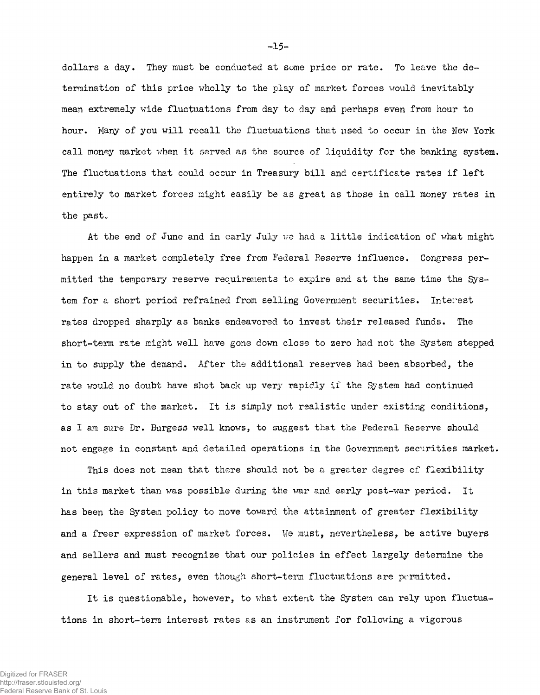dollars a day. They must be conducted at some price or rate. To leave the determination of this price wholly to the play of market forces would inevitably mean extremely wide fluctuations from day to day and perhaps even from hour to hour. Many of you will recall the fluctuations that used to occur in the New York call money market when it served as the source of liquidity for the banking system. The fluctuations that could occur in Treasury bill and certificate rates if left entirely to market forces night easily be as great as those in call money rates in the past.

At the end of June and in early July we had a little indication of what might happen in a market completely free from Federal Reserve influence. Congress permitted the temporary reserve requirements to expire and at the same time the System for a short period refrained from selling Government securities. Interest rates dropped sharply as banks endeavored to invest their released funds. The short-term rate might well have gone down close to zero had not the System stepped in to supply the demand. After the additional reserves had been absorbed, the rate would no doubt have shot back up very rapidly if the System had continued to stay out of the market. It is simply not realistic under existing conditions, as I am sure Dr. Burgess well knows, to suggest that the Federal Reserve should not engage in constant and detailed operations in the Government securities market.

This does not mean that there should not be a greater degree of flexibility in this market than was possible during the war and early post-war period. It has been the System policy to move toward the attainment of greater flexibility and a freer expression of market forces. We must, nevertheless, be active buyers and sellers and must recognize that our policies in effect largely determine the general level of rates, even though short-term fluctuations are permitted.

It is questionable, however, to what extent the System can rely upon fluctuations in short-term interest rates as an instrument for following a vigorous

-15-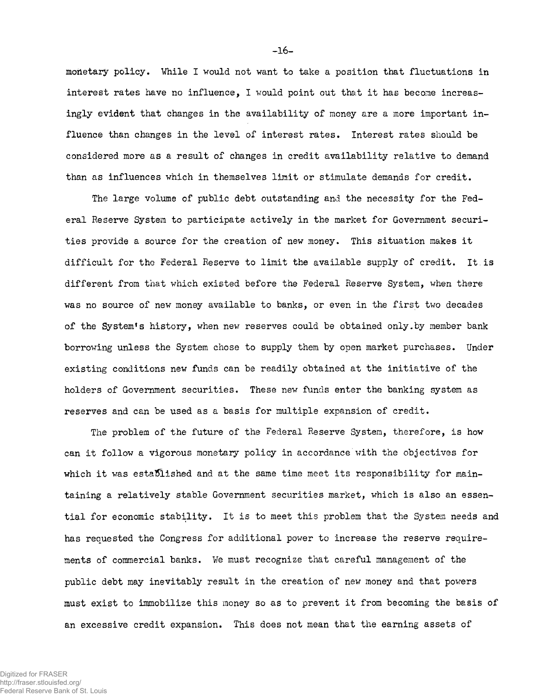monetary policy. While I would not want to take a position that fluctuations in interest rates have no influence, I would point out that it has become increasingly evident that changes in the availability of money are a more important influence than changes in the level of interest rates. Interest rates should be considered more as a result of changes in credit availability relative to demand than as influences which in themselves limit or stimulate demands for credit.

The large volume of public debt outstanding and the necessity for the Federal Reserve System to participate actively in the market for Government securities provide a source for the creation of new money. This situation makes it difficult for tho Federal Reserve to limit the available supply of credit. It is different from that which existed before the Federal Reserve System, when there was no source of new money available to banks, or even in the first two decades of the System's history, when new reserves could be obtained only.by member bank borrowing unless the System chose to supply them by open market purchases. Under existing conditions new funds can be readily obtained at the initiative of the holders of Government securities. These new funds enter the banking system as reserves and can be used as a basis for multiple expansion of credit.

The problem of the future of the Federal Reserve System, therefore, is how can it follow a vigorous monetary policy in accordance with the objectives for which it was established and at the same time meet its responsibility for maintaining a relatively stable Government securities market, which is also an essential for economic stability. It is to meet this problem that the System needs and has requested the Congress for additional power to increase the reserve requirements of commercial banks. We must recognize that careful management of the public debt may inevitably result in the creation of new money and that powers must exist to immobilize this money so as to prevent it from becoming the basis of an excessive credit expansion. This does not mean that the earning assets of

-16-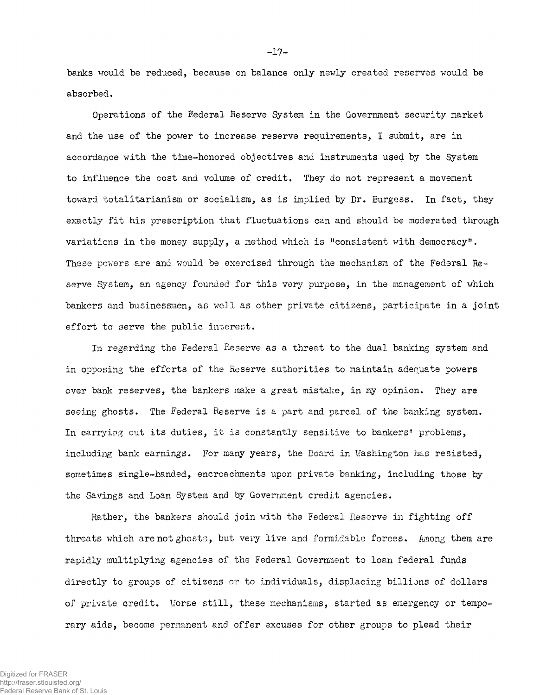banks would be reduced, because on balance only newly created reserves would be absorbed.

Operations of the Federal Reserve System in the Government security market and the use of the power to increase reserve requirements, I submit, are in accordance with the time-honored objectives and instruments used by the System to influence the cost and volume of credit. They do not represent a movement toward totalitarianism or socialism, as is implied by Dr. Burgess. In fact, they exactly fit his prescription that fluctuations can and should be moderated through variations in the money supply, a method which is "consistent with democracy". These powers are and would be exercised through the mechanism of the Federal Reserve System, an agency founded for this very purpose, in the management of which bankers and businessmen, as well as other private citizens, participate in a joint effort to serve the public interest.

In regarding the Federal Reserve as a threat to the dual banking system and in opposing the efforts of the Reserve authorities to maintain adequate powers over bank reserves, the bankers make a great mistake, in my opinion. They are seeing ghosts. The Federal Reserve is a part and parcel of the banking system. In carrying out its duties, it is constantly sensitive to bankers' problems, including bank earnings. For many years, the Board in Washington has resisted, sometimes single-handed, encroachments upon private banking, including those by the Savings and Loan System and by Government credit agencies.

Rather, the bankers should join with the Federal Reserve in fighting off threats which are not ghosts, but very live and formidable forces. Among them are rapidly multiplying agencies of the Federal Government to loan federal funds directly to groups of citizens or to individuals, displacing billions of dollars of private credit. Worse still, these mechanisms, started as emergency or temporary aids, become permanent and offer excuses for other groups to plead their

-17-